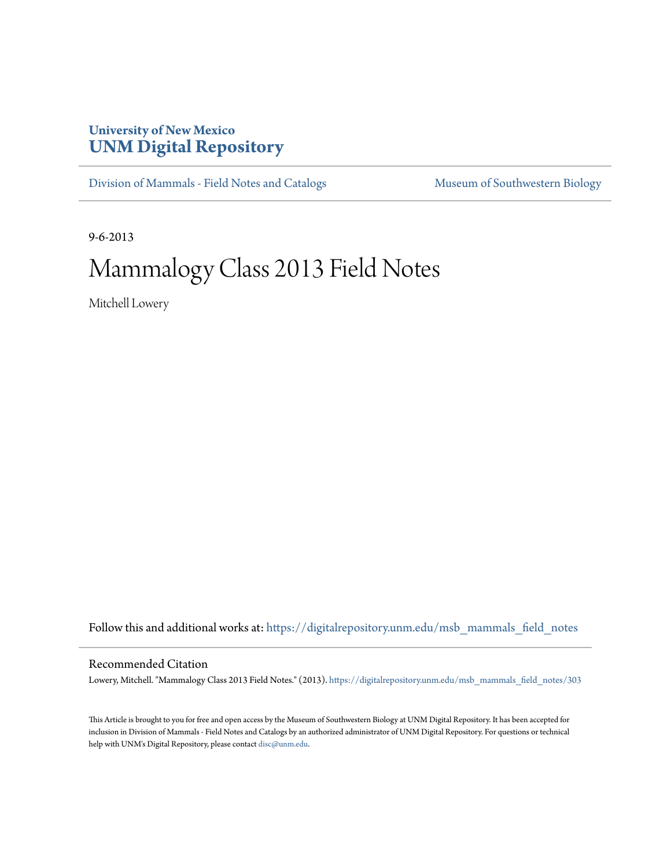## **University of New Mexico [UNM Digital Repository](https://digitalrepository.unm.edu?utm_source=digitalrepository.unm.edu%2Fmsb_mammals_field_notes%2F303&utm_medium=PDF&utm_campaign=PDFCoverPages)**

[Division of Mammals - Field Notes and Catalogs](https://digitalrepository.unm.edu/msb_mammals_field_notes?utm_source=digitalrepository.unm.edu%2Fmsb_mammals_field_notes%2F303&utm_medium=PDF&utm_campaign=PDFCoverPages) [Museum of Southwestern Biology](https://digitalrepository.unm.edu/msb?utm_source=digitalrepository.unm.edu%2Fmsb_mammals_field_notes%2F303&utm_medium=PDF&utm_campaign=PDFCoverPages)

9-6-2013

## Mammalogy Class 2013 Field Notes

Mitchell Lowery

Follow this and additional works at: [https://digitalrepository.unm.edu/msb\\_mammals\\_field\\_notes](https://digitalrepository.unm.edu/msb_mammals_field_notes?utm_source=digitalrepository.unm.edu%2Fmsb_mammals_field_notes%2F303&utm_medium=PDF&utm_campaign=PDFCoverPages)

## Recommended Citation

Lowery, Mitchell. "Mammalogy Class 2013 Field Notes." (2013). [https://digitalrepository.unm.edu/msb\\_mammals\\_field\\_notes/303](https://digitalrepository.unm.edu/msb_mammals_field_notes/303?utm_source=digitalrepository.unm.edu%2Fmsb_mammals_field_notes%2F303&utm_medium=PDF&utm_campaign=PDFCoverPages)

This Article is brought to you for free and open access by the Museum of Southwestern Biology at UNM Digital Repository. It has been accepted for inclusion in Division of Mammals - Field Notes and Catalogs by an authorized administrator of UNM Digital Repository. For questions or technical help with UNM's Digital Repository, please contact [disc@unm.edu](mailto:disc@unm.edu).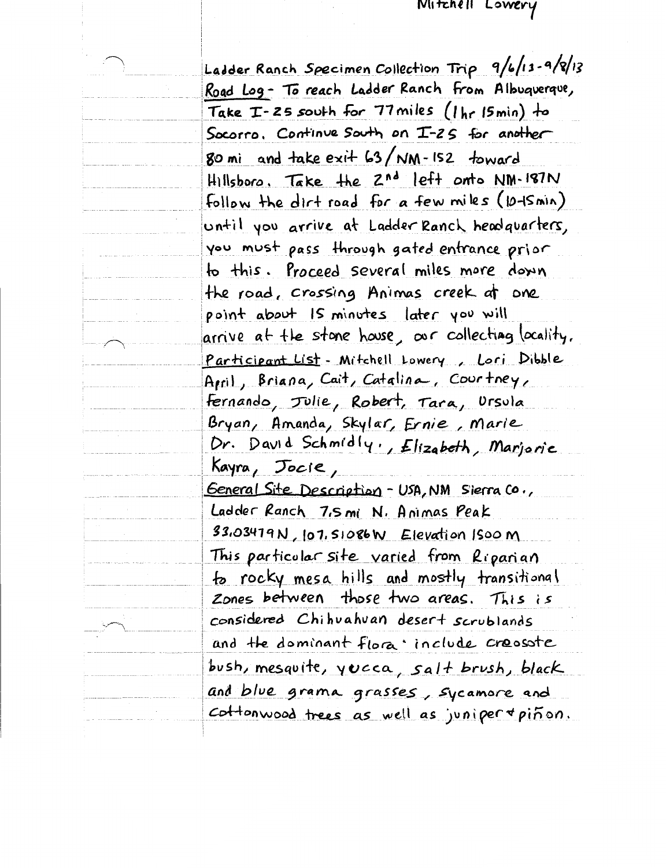## MITZREII LOWERY

Ladder Ranch Specimen Collection Trip 9/6/13-9/8/13 Road Log- To reach Ladder Ranch from Albuquerque, Take  $T-25$  south for 77 miles (1 hr 15 min) to Socorro, Continue South on I-25 for another 80 mi and take  $exi+63/NM$ -152 toward Hillsboro, Take the 2nd left onto NM-187N Follow the dirt road for a few miles (10-Ismin) until you arrive at Ladder Ranch headquarters, you must pass through gated entrance prior to this. Proceed several miles more down the road, crossing Animas creek at one point about Is minutes later you will arrive at the stone house, our collecting locality, Participant List - Mitchell Lowery, Lori Dibble Arril, Briana, Cait, Catalina, Courtney, <u>Fernando, Julie, Robert, Tara, Ursula</u> Bryan, Amanda, Skylar, Ernie, Marie Dr. David Schmidly, Elizabeth, Marjoric Kayra, Jocie, <u> General Site Description - USA, NM Sierra Co.,</u> Ladder Ranch 7,5 mi N. Animas Peak 33,03479N, 107, 51086W Elevation ISOOM This particular site varied from Riparian to rocky mesa hills and mostly transitional Zones between those two areas. This is considered Chihuahuan desert scrublands and the dominant flora include creasate bush, mesquite, yucca, salt brush, black and blue grama grasses, sycamore and  $cot$  tonwood trees as well as juniper + pinon.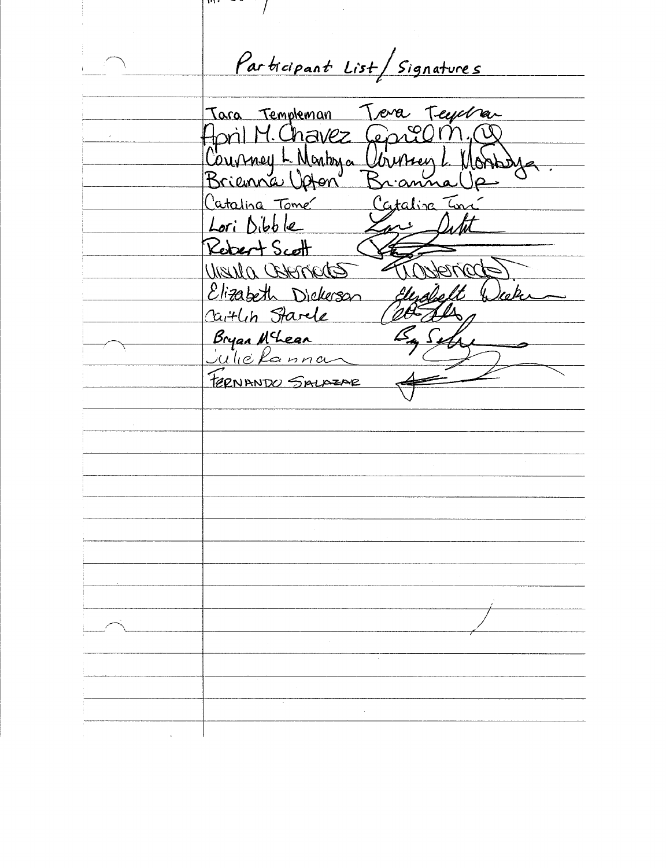$\mu$ ,  $\sim$   $\sim$   $\sim$   $\sim$ Participant List/Signatures Teva Teyeban Tara Templeman Jeprel Aprìl M. Chavez W Courney L. Montrya Urussey anna Catalina Tome Cataliza In Lori Dibble Rebert Scott UNSULA CENETICAS ennate Elizabeth Dickerson )eo be n Cartlin Starle Bryan N<sup>c</sup>hear<br>Julie Ranna FERNANDO SALAZAR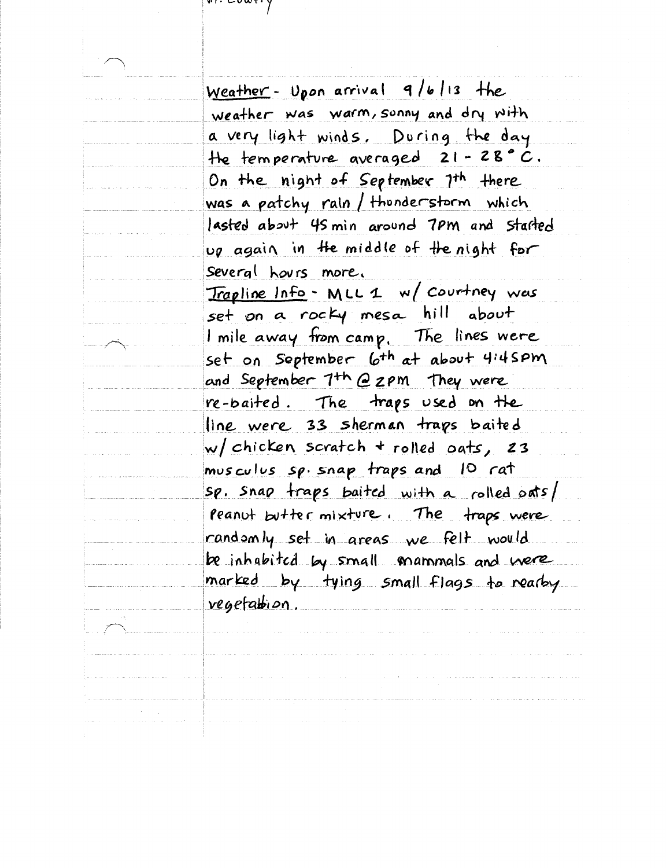$\mathbf{v}$  , coweig

Weather- Upon arrival 9/6/13 the weather was warm, sunny and dry with a very light winds. During the day He temperature averaged  $21 - 28$ °C. On the night of September 7th there was a patchy rain / thunderstorm which lasted about 45 min around 7pm and started up again in the middle of the night for Several hours more, Trapline Info - MLL 1 w/ courtney was set on a rocky mesa hill about I mile away from camp. The lines were set on September 6th at about 4:45PM and September 7th @ 2pm They were re-baited. The traps used on the line were 33 sherman traps baited w/ chicken scratch + rolled oats, 23 musculus sp. snap traps and 10 rat sp. snap traps baited with a rolled oats/ peanut butter mixture. The traps were randomly set in areas we felt would be inhabited by small mammals and were marked by tying small flags to rearby vegetation